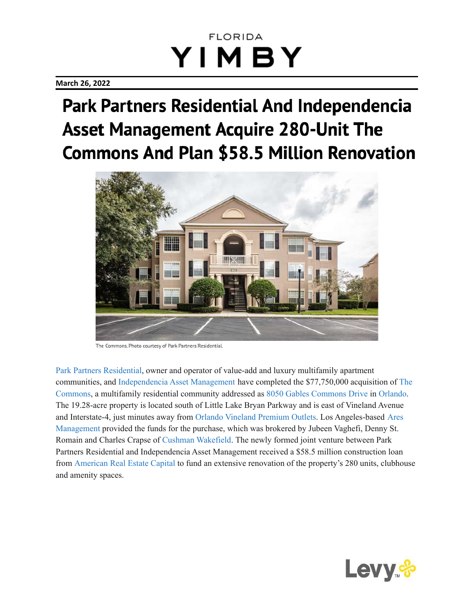#### **March 26, 2022**

# Park Partners Residential And Independencia **Asset Management Acquire 280-Unit The Commons And Plan \$58.5 Million Renovation**



The Commons. Photo courtesy of Park Partners Residential.

Park Partners [Residential](http://floridayimby.com/category/park-partners-residential), owner and operator of value-add and luxury multifamily apartment communities, and [Independencia](http://floridayimby.com/category/independencia-asset-management) Asset Management have completed the \$77,750,000 acquisition of [The](http://floridayimby.com/category/the-commons) [Commons](http://floridayimby.com/category/the-commons), a multifamily residential community addressed as 8050 Gables [Commons](http://floridayimby.com/category/8050-gables-commons-drive) Drive in [Orlando](http://floridayimby.com/category/orlando). The 19.28-acre property is located south of Little Lake Bryan Parkway and is east of Vineland Avenue and Interstate-4, just minutes away from Orlando Vineland [Premium](https://goo.gl/maps/zsQfnwx3MYwmKLpq8) Outlets. Los Angeles-based [Ares](http://floridayimby.com/category/ares-management) [Management](http://floridayimby.com/category/ares-management) provided the funds for the purchase, which was brokered by Jubeen Vaghefi, Denny St. Romain and Charles Crapse of Cushman [Wakefield.](http://floridayimby.com/category/cushman-wakefield) The newly formed joint venture between Park Partners Residential and Independencia Asset Management received a \$58.5 million construction loan from [American](http://floridayimby.com/category/america-real-estate-capital) Real Estate Capital to fund an extensive renovation of the property's 280 units, clubhouse and amenity spaces.

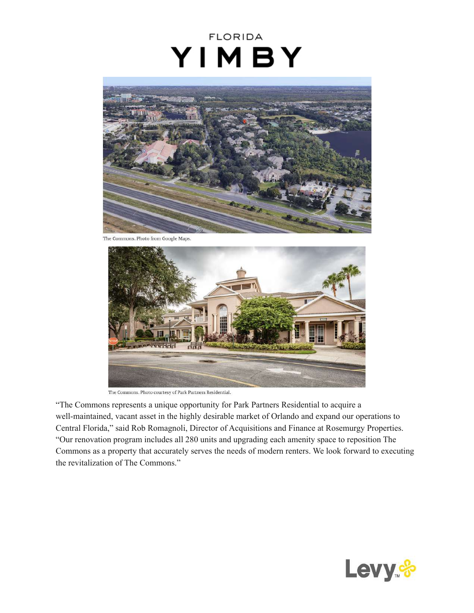

The Commons. Photo from Google Maps.



The Commons. Photo courtesy of Park Partners Residential.

"The Commons represents a unique opportunity for Park Partners Residential to acquire a well-maintained, vacant asset in the highly desirable market of Orlando and expand our operations to Central Florida," said Rob Romagnoli, Director of Acquisitions and Finance at Rosemurgy Properties. "Our renovation program includes all 280 units and upgrading each amenity space to reposition The Commons as a property that accurately serves the needs of modern renters. We look forward to executing the revitalization of The Commons."

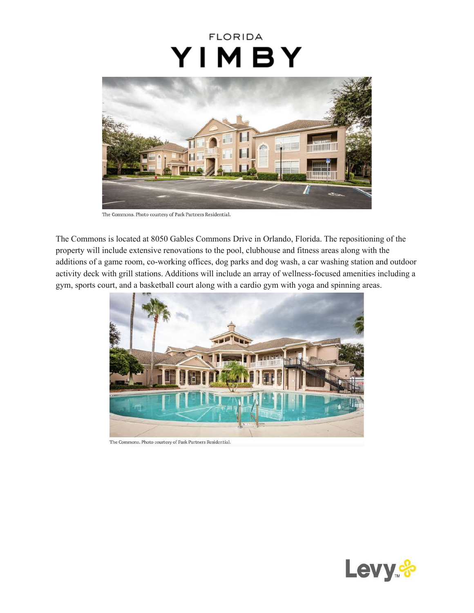

The Commons. Photo courtesy of Park Partners Residential.

The Commons is located at 8050 Gables Commons Drive in Orlando, Florida. The repositioning of the property will include extensive renovations to the pool, clubhouse and fitness areas along with the additions of a game room, co-working offices, dog parks and dog wash, a car washing station and outdoor activity deck with grill stations. Additions will include an array of wellness-focused amenities including a gym, sports court, and a basketball court along with a cardio gym with yoga and spinning areas.



The Commons. Photo courtesy of Park Partners Residential.